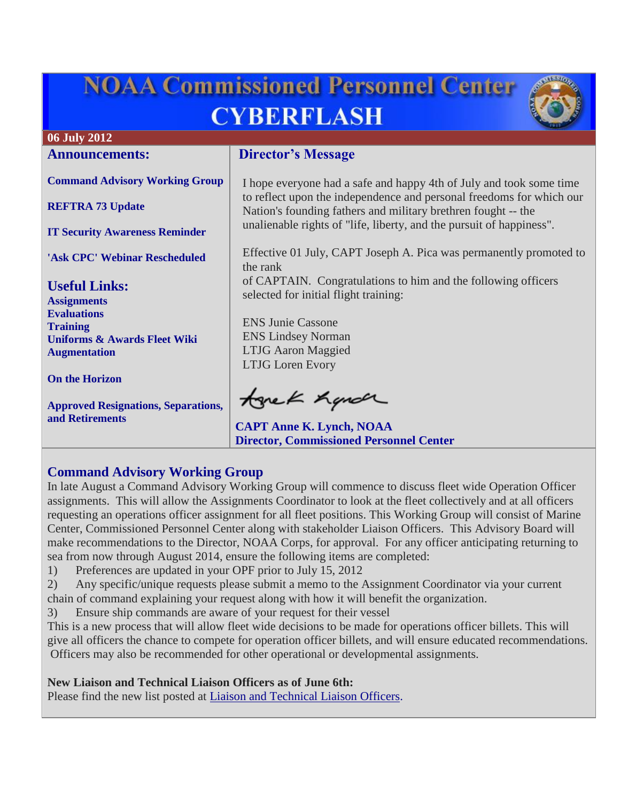# **NOAA Commissioned Personnel Center CYBERFLASH**



# **06 July 2012**

**Announcements:**

**[Command Advisory Working Group](#page-0-0)**

**[REFTRA 73 Update](#page-1-0)**

**[IT Security Awareness Reminder](#page-1-1)**

**['Ask CPC' Webinar Rescheduled](#page-1-2)**

**Useful Links: [Assignments](http://www.corpscpc.noaa.gov/careermgmt/assignments.html) [Evaluations](http://www.corpscpc.noaa.gov/careermgmt/evaluation.html) [Training](http://www.corpscpc.noaa.gov/careermgmt/training.html) [Uniforms & Awards](http://www.corpscpc.noaa.gov/perservices/awards.html) [Fleet Wiki](https://www.st.nmfs.noaa.gov/confluence/display/FleetWiki/Home) [Augmentation](http://www.corpscpc.noaa.gov/cpchome/augmentation.html)**

**[On the Horizon](#page-2-0)**

**[Approved Resignations, Separations,](#page-2-1)  [and Retirements](#page-2-1)**

# **Director's Message**

I hope everyone had a safe and happy 4th of July and took some time to reflect upon the independence and personal freedoms for which our Nation's founding fathers and military brethren fought -- the unalienable rights of "life, liberty, and the pursuit of happiness".

Effective 01 July, CAPT Joseph A. Pica was permanently promoted to the rank

of CAPTAIN. Congratulations to him and the following officers selected for initial flight training:

ENS Junie Cassone ENS Lindsey Norman LTJG Aaron Maggied LTJG Loren Evory

tonek handr

**CAPT Anne K. Lynch, NOAA Director, Commissioned Personnel Center**

# <span id="page-0-0"></span>**Command Advisory Working Group**

In late August a Command Advisory Working Group will commence to discuss fleet wide Operation Officer assignments. This will allow the Assignments Coordinator to look at the fleet collectively and at all officers requesting an operations officer assignment for all fleet positions. This Working Group will consist of Marine Center, Commissioned Personnel Center along with stakeholder Liaison Officers. This Advisory Board will make recommendations to the Director, NOAA Corps, for approval. For any officer anticipating returning to sea from now through August 2014, ensure the following items are completed:

1) Preferences are updated in your OPF prior to July 15, 2012

2) Any specific/unique requests please submit a memo to the Assignment Coordinator via your current chain of command explaining your request along with how it will benefit the organization.

3) Ensure ship commands are aware of your request for their vessel

This is a new process that will allow fleet wide decisions to be made for operations officer billets. This will give all officers the chance to compete for operation officer billets, and will ensure educated recommendations. Officers may also be recommended for other operational or developmental assignments.

**New Liaison and Technical Liaison Officers as of June 6th:**

Please find the new list posted at [Liaison and Technical Liaison Officers.](http://www.corpscpc.noaa.gov/careermgmt/assignments.html)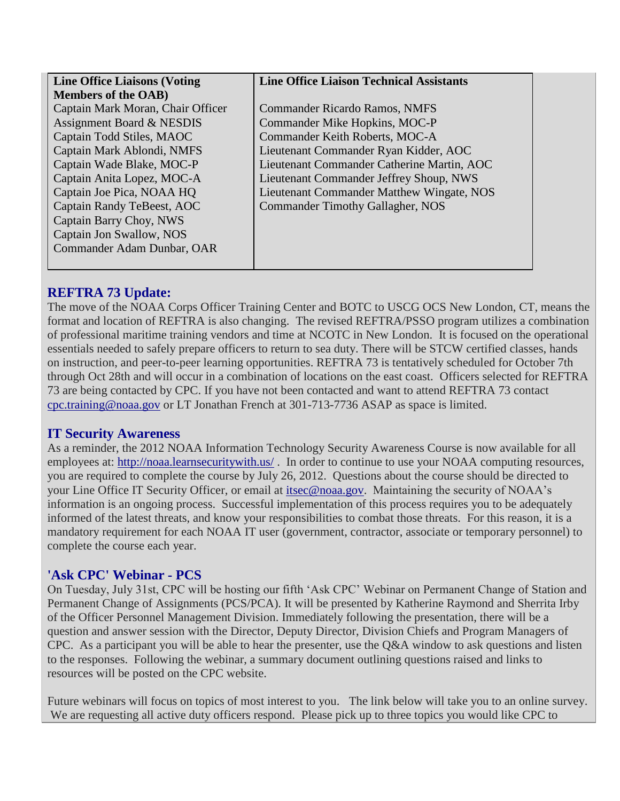| <b>Line Office Liaisons (Voting</b> | <b>Line Office Liaison Technical Assistants</b> |
|-------------------------------------|-------------------------------------------------|
| <b>Members of the OAB</b> )         |                                                 |
| Captain Mark Moran, Chair Officer   | <b>Commander Ricardo Ramos, NMFS</b>            |
| Assignment Board & NESDIS           | Commander Mike Hopkins, MOC-P                   |
| Captain Todd Stiles, MAOC           | Commander Keith Roberts, MOC-A                  |
| Captain Mark Ablondi, NMFS          | Lieutenant Commander Ryan Kidder, AOC           |
| Captain Wade Blake, MOC-P           | Lieutenant Commander Catherine Martin, AOC      |
| Captain Anita Lopez, MOC-A          | Lieutenant Commander Jeffrey Shoup, NWS         |
| Captain Joe Pica, NOAA HQ           | Lieutenant Commander Matthew Wingate, NOS       |
| Captain Randy TeBeest, AOC          | Commander Timothy Gallagher, NOS                |
| Captain Barry Choy, NWS             |                                                 |
| Captain Jon Swallow, NOS            |                                                 |
| Commander Adam Dunbar, OAR          |                                                 |
|                                     |                                                 |

# <span id="page-1-0"></span>**REFTRA 73 Update:**

The move of the NOAA Corps Officer Training Center and BOTC to USCG OCS New London, CT, means the format and location of REFTRA is also changing. The revised REFTRA/PSSO program utilizes a combination of professional maritime training vendors and time at NCOTC in New London. It is focused on the operational essentials needed to safely prepare officers to return to sea duty. There will be STCW certified classes, hands on instruction, and peer-to-peer learning opportunities. REFTRA 73 is tentatively scheduled for October 7th through Oct 28th and will occur in a combination of locations on the east coast. Officers selected for REFTRA 73 are being contacted by CPC. If you have not been contacted and want to attend REFTRA 73 contact [cpc.training@noaa.gov](mailto:cpc.training@noaa.gov) or LT Jonathan French at 301-713-7736 ASAP as space is limited.

#### <span id="page-1-1"></span>**IT Security Awareness**

As a reminder, the 2012 NOAA Information Technology Security Awareness Course is now available for all employees at: <http://noaa.learnsecuritywith.us/>. In order to continue to use your NOAA computing resources, you are required to complete the course by July 26, 2012. Questions about the course should be directed to your Line Office IT Security Officer, or email at [itsec@noaa.gov.](mailto:itsec@noaa.gov) Maintaining the security of NOAA's information is an ongoing process. Successful implementation of this process requires you to be adequately informed of the latest threats, and know your responsibilities to combat those threats. For this reason, it is a mandatory requirement for each NOAA IT user (government, contractor, associate or temporary personnel) to complete the course each year.

## <span id="page-1-2"></span>**'Ask CPC' Webinar - PCS**

On Tuesday, July 31st, CPC will be hosting our fifth 'Ask CPC' Webinar on Permanent Change of Station and Permanent Change of Assignments (PCS/PCA). It will be presented by Katherine Raymond and Sherrita Irby of the Officer Personnel Management Division. Immediately following the presentation, there will be a question and answer session with the Director, Deputy Director, Division Chiefs and Program Managers of CPC. As a participant you will be able to hear the presenter, use the Q&A window to ask questions and listen to the responses. Following the webinar, a summary document outlining questions raised and links to resources will be posted on the CPC website.

Future webinars will focus on topics of most interest to you. The link below will take you to an online survey. We are requesting all active duty officers respond. Please pick up to three topics you would like CPC to